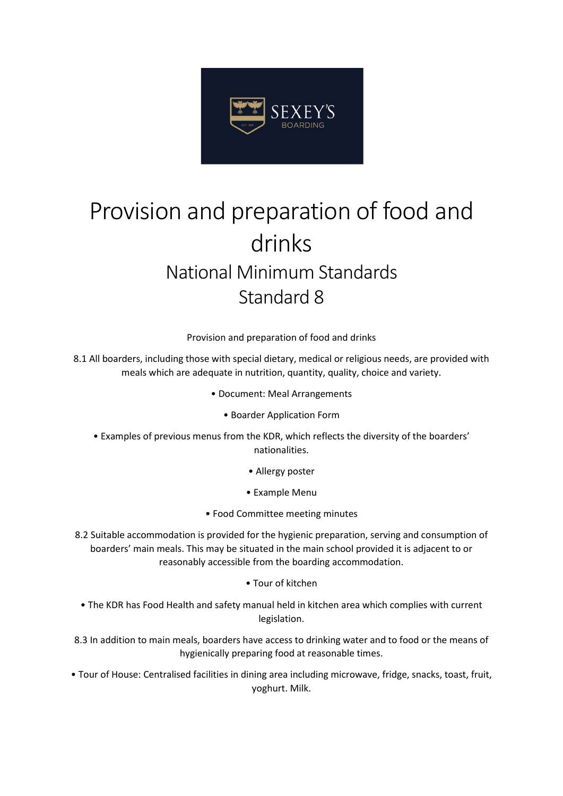

## Provision and preparation of food and drinks National Minimum Standards Standard 8

Provision and preparation of food and drinks

8.1 All boarders, including those with special dietary, medical or religious needs, are provided with meals which are adequate in nutrition, quantity, quality, choice and variety.

- Document: Meal Arrangements
	- Boarder Application Form
- Examples of previous menus from the KDR, which reflects the diversity of the boarders' nationalities.
	- Allergy poster
	- Example Menu
	- Food Committee meeting minutes
- 8.2 Suitable accommodation is provided for the hygienic preparation, serving and consumption of boarders' main meals. This may be situated in the main school provided it is adjacent to or reasonably accessible from the boarding accommodation.
	- Tour of kitchen
- The KDR has Food Health and safety manual held in kitchen area which complies with current legislation.
- 8.3 In addition to main meals, boarders have access to drinking water and to food or the means of hygienically preparing food at reasonable times.
- Tour of House: Centralised facilities in dining area including microwave, fridge, snacks, toast, fruit, yoghurt. Milk.